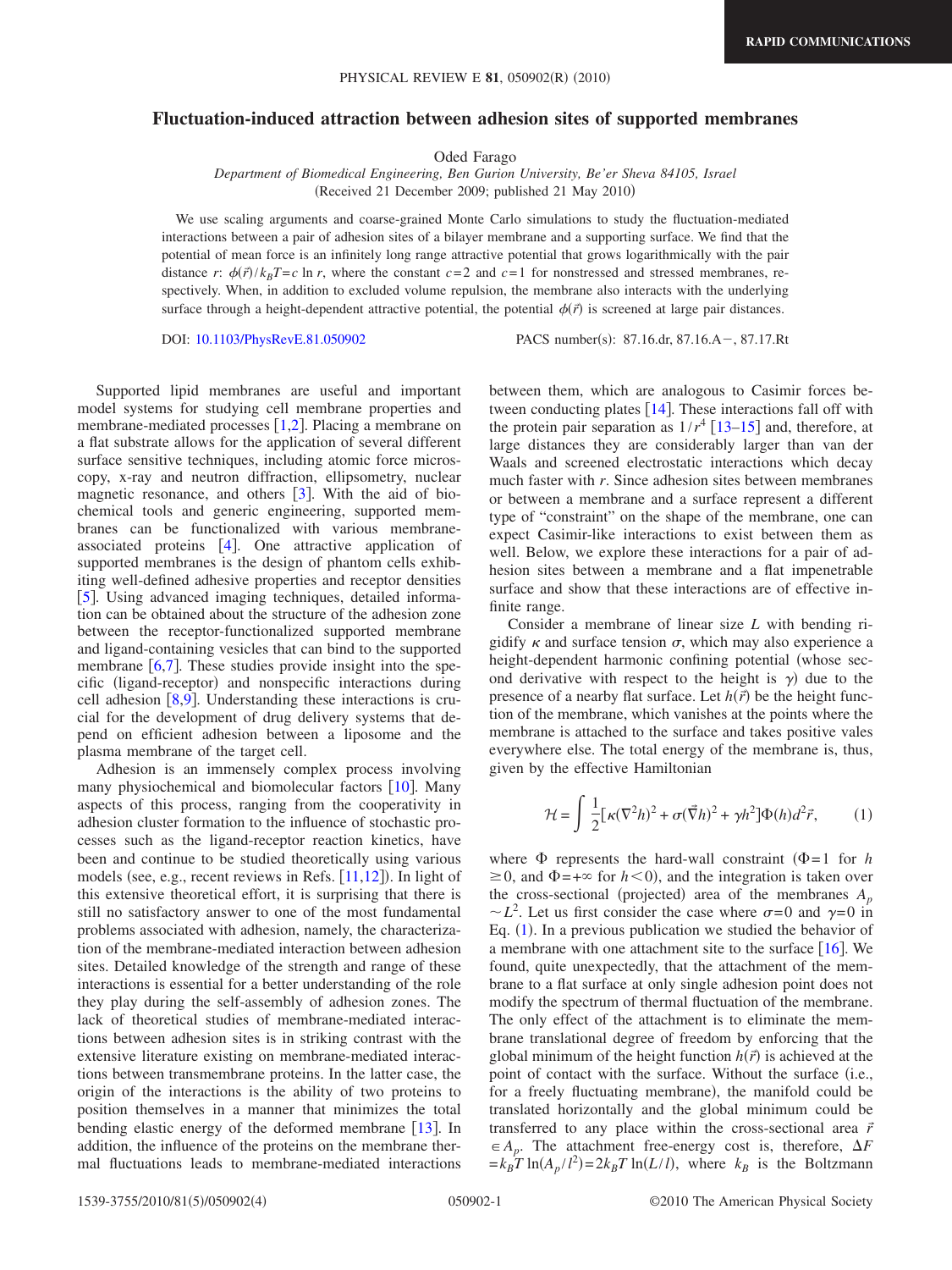## **Fluctuation-induced attraction between adhesion sites of supported membranes**

Oded Farago

*Department of Biomedical Engineering, Ben Gurion University, Be'er Sheva 84105, Israel* (Received 21 December 2009; published 21 May 2010)

We use scaling arguments and coarse-grained Monte Carlo simulations to study the fluctuation-mediated interactions between a pair of adhesion sites of a bilayer membrane and a supporting surface. We find that the potential of mean force is an infinitely long range attractive potential that grows logarithmically with the pair distance *r*:  $\phi(\vec{r})/k_B T = c \ln r$ , where the constant  $c = 2$  and  $c = 1$  for nonstressed and stressed membranes, respectively. When, in addition to excluded volume repulsion, the membrane also interacts with the underlying surface through a height-dependent attractive potential, the potential  $\phi(\vec{r})$  is screened at large pair distances.

DOI: [10.1103/PhysRevE.81.050902](http://dx.doi.org/10.1103/PhysRevE.81.050902)

 $: 87.16 \text{.} \text{dr}, 87.16 \text{.} \text{A} -, 87.17 \text{.} \text{R}$ t

Supported lipid membranes are useful and important model systems for studying cell membrane properties and membrane-mediated processes  $[1,2]$  $[1,2]$  $[1,2]$  $[1,2]$ . Placing a membrane on a flat substrate allows for the application of several different surface sensitive techniques, including atomic force microscopy, x-ray and neutron diffraction, ellipsometry, nuclear magnetic resonance, and others  $\lceil 3 \rceil$  $\lceil 3 \rceil$  $\lceil 3 \rceil$ . With the aid of biochemical tools and generic engineering, supported membranes can be functionalized with various membraneassociated proteins  $[4]$  $[4]$  $[4]$ . One attractive application of supported membranes is the design of phantom cells exhibiting well-defined adhesive properties and receptor densities [[5](#page-3-4)]. Using advanced imaging techniques, detailed information can be obtained about the structure of the adhesion zone between the receptor-functionalized supported membrane and ligand-containing vesicles that can bind to the supported membrane  $[6,7]$  $[6,7]$  $[6,7]$  $[6,7]$ . These studies provide insight into the specific (ligand-receptor) and nonspecific interactions during cell adhesion  $\lceil 8, 9 \rceil$  $\lceil 8, 9 \rceil$  $\lceil 8, 9 \rceil$ . Understanding these interactions is crucial for the development of drug delivery systems that depend on efficient adhesion between a liposome and the plasma membrane of the target cell.

Adhesion is an immensely complex process involving many physiochemical and biomolecular factors  $[10]$  $[10]$  $[10]$ . Many aspects of this process, ranging from the cooperativity in adhesion cluster formation to the influence of stochastic processes such as the ligand-receptor reaction kinetics, have been and continue to be studied theoretically using various models (see, e.g., recent reviews in Refs. [[11,](#page-3-10)[12](#page-3-11)]). In light of this extensive theoretical effort, it is surprising that there is still no satisfactory answer to one of the most fundamental problems associated with adhesion, namely, the characterization of the membrane-mediated interaction between adhesion sites. Detailed knowledge of the strength and range of these interactions is essential for a better understanding of the role they play during the self-assembly of adhesion zones. The lack of theoretical studies of membrane-mediated interactions between adhesion sites is in striking contrast with the extensive literature existing on membrane-mediated interactions between transmembrane proteins. In the latter case, the origin of the interactions is the ability of two proteins to position themselves in a manner that minimizes the total bending elastic energy of the deformed membrane  $[13]$  $[13]$  $[13]$ . In addition, the influence of the proteins on the membrane thermal fluctuations leads to membrane-mediated interactions between them, which are analogous to Casimir forces between conducting plates  $[14]$  $[14]$  $[14]$ . These interactions fall off with the protein pair separation as  $1/r^4$  [[13](#page-3-12)[–15](#page-3-14)] and, therefore, at large distances they are considerably larger than van der Waals and screened electrostatic interactions which decay much faster with *r*. Since adhesion sites between membranes or between a membrane and a surface represent a different type of "constraint" on the shape of the membrane, one can expect Casimir-like interactions to exist between them as well. Below, we explore these interactions for a pair of adhesion sites between a membrane and a flat impenetrable surface and show that these interactions are of effective infinite range.

Consider a membrane of linear size *L* with bending rigidify  $\kappa$  and surface tension  $\sigma$ , which may also experience a height-dependent harmonic confining potential (whose second derivative with respect to the height is  $\gamma$ ) due to the presence of a nearby flat surface. Let  $h(\vec{r})$  be the height function of the membrane, which vanishes at the points where the membrane is attached to the surface and takes positive vales everywhere else. The total energy of the membrane is, thus, given by the effective Hamiltonian

<span id="page-0-0"></span>
$$
\mathcal{H} = \int \frac{1}{2} [\kappa (\nabla^2 h)^2 + \sigma (\vec{\nabla} h)^2 + \gamma h^2] \Phi(h) d^2 \vec{r}, \qquad (1)
$$

where  $\Phi$  represents the hard-wall constraint  $(\Phi = 1)$  for *h*  $\geq$  0, and  $\Phi$  = + $\infty$  for *h* < 0), and the integration is taken over the cross-sectional (projected) area of the membranes  $A_p$  $\sim L^2$ . Let us first consider the case where  $\sigma = 0$  and  $\gamma = 0$  in Eq. ([1](#page-0-0)). In a previous publication we studied the behavior of a membrane with one attachment site to the surface  $[16]$  $[16]$  $[16]$ . We found, quite unexpectedly, that the attachment of the membrane to a flat surface at only single adhesion point does not modify the spectrum of thermal fluctuation of the membrane. The only effect of the attachment is to eliminate the membrane translational degree of freedom by enforcing that the global minimum of the height function  $h(\vec{r})$  is achieved at the point of contact with the surface. Without the surface (i.e., for a freely fluctuating membrane), the manifold could be translated horizontally and the global minimum could be transferred to any place within the cross-sectional area *r*  $\in$  *A<sub>p</sub>*. The attachment free-energy cost is, therefore,  $\Delta F$  $=k_B T \ln(A_p/l^2) = 2k_B T \ln(L/l)$ , where  $k_B$  is the Boltzmann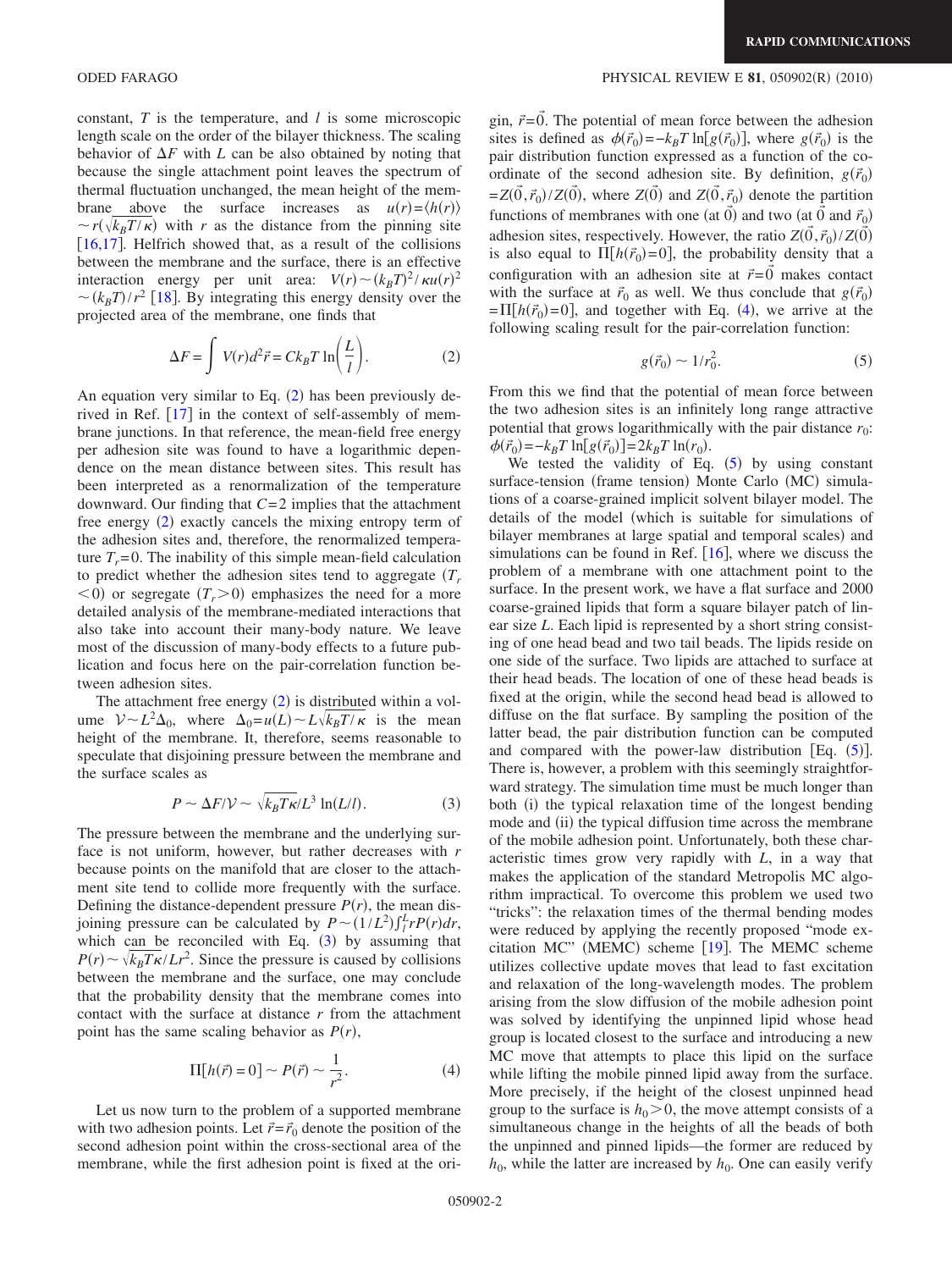constant, *T* is the temperature, and *l* is some microscopic length scale on the order of the bilayer thickness. The scaling behavior of  $\Delta F$  with *L* can be also obtained by noting that because the single attachment point leaves the spectrum of thermal fluctuation unchanged, the mean height of the membrane above the surface increases as  $u(r) = \langle h(r) \rangle$  $\sim r(\sqrt{k_B T/\kappa})$  with *r* as the distance from the pinning site [[16](#page-3-15)[,17](#page-3-16)]. Helfrich showed that, as a result of the collisions between the membrane and the surface, there is an effective interaction energy per unit area:  $V(r) \sim (k_B T)^2 / \kappa u(r)^2$  $\sim (k_B T)/r^2$  [[18](#page-3-17)]. By integrating this energy density over the projected area of the membrane, one finds that

$$
\Delta F = \int V(r) d^2 \vec{r} = C k_B T \ln \left( \frac{L}{l} \right). \tag{2}
$$

<span id="page-1-0"></span>An equation very similar to Eq.  $(2)$  $(2)$  $(2)$  has been previously derived in Ref.  $\lceil 17 \rceil$  $\lceil 17 \rceil$  $\lceil 17 \rceil$  in the context of self-assembly of membrane junctions. In that reference, the mean-field free energy per adhesion site was found to have a logarithmic dependence on the mean distance between sites. This result has been interpreted as a renormalization of the temperature downward. Our finding that *C*= 2 implies that the attachment free energy ([2](#page-1-0)) exactly cancels the mixing entropy term of the adhesion sites and, therefore, the renormalized temperature  $T_r = 0$ . The inability of this simple mean-field calculation to predict whether the adhesion sites tend to aggregate  $(T_r)$  $(0, 0)$  or segregate  $(T_r > 0)$  emphasizes the need for a more detailed analysis of the membrane-mediated interactions that also take into account their many-body nature. We leave most of the discussion of many-body effects to a future publication and focus here on the pair-correlation function between adhesion sites.

The attachment free energy  $(2)$  $(2)$  $(2)$  is distributed within a volume  $V \sim L^2 \Delta_0$ , where  $\Delta_0 = u(L) \sim L \sqrt{k_B T/\kappa}$  is the mean height of the membrane. It, therefore, seems reasonable to speculate that disjoining pressure between the membrane and the surface scales as

$$
P \sim \Delta F / \mathcal{V} \sim \sqrt{k_B T \kappa / L^3} \ln(L/l). \tag{3}
$$

<span id="page-1-1"></span>The pressure between the membrane and the underlying surface is not uniform, however, but rather decreases with *r* because points on the manifold that are closer to the attachment site tend to collide more frequently with the surface. Defining the distance-dependent pressure  $P(r)$ , the mean disjoining pressure can be calculated by  $P \sim (1/L^2) \int_l^L r P(r) dr$ , which can be reconciled with Eq.  $(3)$  $(3)$  $(3)$  by assuming that  $P(r) \sim \sqrt{k_B T \kappa / L r^2}$ . Since the pressure is caused by collisions between the membrane and the surface, one may conclude that the probability density that the membrane comes into contact with the surface at distance *r* from the attachment point has the same scaling behavior as  $P(r)$ ,

$$
\Pi[h(\vec{r}) = 0] \sim P(\vec{r}) \sim \frac{1}{r^2}.
$$
 (4)

<span id="page-1-2"></span>Let us now turn to the problem of a supported membrane with two adhesion points. Let  $\vec{r} = \vec{r}_0$  denote the position of the second adhesion point within the cross-sectional area of the membrane, while the first adhesion point is fixed at the ori-

## ODED FARAGO **PHYSICAL REVIEW E 81,** 050902(R) (2010)

gin,  $\vec{r} = \vec{0}$ . The potential of mean force between the adhesion sites is defined as  $\phi(\vec{r}_0) = -k_B T \ln[g(\vec{r}_0)]$ , where  $g(\vec{r}_0)$  is the pair distribution function expressed as a function of the coordinate of the second adhesion site. By definition,  $g(\vec{r}_0)$  $=Z(\vec{0}, \vec{r}_0)/Z(\vec{0})$ , where  $Z(\vec{0})$  and  $Z(\vec{0}, \vec{r}_0)$  denote the partition functions of membranes with one (at  $\vec{0}$ ) and two (at  $\vec{0}$  and  $\vec{r}_0$ ) adhesion sites, respectively. However, the ratio  $Z(\vec{0}, \vec{r}_0)/Z(\vec{0})$ is also equal to  $\Pi[h(\vec{r}_0)=0]$ , the probability density that a configuration with an adhesion site at  $\vec{r} = 0$  makes contact with the surface at  $\vec{r}_0$  as well. We thus conclude that  $g(\vec{r}_0)$  $= \Pi[h(\vec{r}_0) = 0]$ , and together with Eq. ([4](#page-1-2)), we arrive at the following scaling result for the pair-correlation function:

$$
g(\vec{r}_0) \sim 1/r_0^2. \tag{5}
$$

<span id="page-1-3"></span>From this we find that the potential of mean force between the two adhesion sites is an infinitely long range attractive potential that grows logarithmically with the pair distance  $r_0$ :  $\phi(\vec{r}_0) = -k_B T \ln[g(\vec{r}_0)] = 2k_B T \ln(r_0).$ 

We tested the validity of Eq.  $(5)$  $(5)$  $(5)$  by using constant surface-tension (frame tension) Monte Carlo (MC) simulations of a coarse-grained implicit solvent bilayer model. The details of the model which is suitable for simulations of bilayer membranes at large spatial and temporal scales) and simulations can be found in Ref.  $[16]$  $[16]$  $[16]$ , where we discuss the problem of a membrane with one attachment point to the surface. In the present work, we have a flat surface and 2000 coarse-grained lipids that form a square bilayer patch of linear size *L*. Each lipid is represented by a short string consisting of one head bead and two tail beads. The lipids reside on one side of the surface. Two lipids are attached to surface at their head beads. The location of one of these head beads is fixed at the origin, while the second head bead is allowed to diffuse on the flat surface. By sampling the position of the latter bead, the pair distribution function can be computed and compared with the power-law distribution [Eq.  $(5)$  $(5)$  $(5)$ ]. There is, however, a problem with this seemingly straightforward strategy. The simulation time must be much longer than both (i) the typical relaxation time of the longest bending mode and (ii) the typical diffusion time across the membrane of the mobile adhesion point. Unfortunately, both these characteristic times grow very rapidly with *L*, in a way that makes the application of the standard Metropolis MC algorithm impractical. To overcome this problem we used two "tricks": the relaxation times of the thermal bending modes were reduced by applying the recently proposed "mode ex-citation MC" (MEMC) scheme [[19](#page-3-18)]. The MEMC scheme utilizes collective update moves that lead to fast excitation and relaxation of the long-wavelength modes. The problem arising from the slow diffusion of the mobile adhesion point was solved by identifying the unpinned lipid whose head group is located closest to the surface and introducing a new MC move that attempts to place this lipid on the surface while lifting the mobile pinned lipid away from the surface. More precisely, if the height of the closest unpinned head group to the surface is  $h_0 > 0$ , the move attempt consists of a simultaneous change in the heights of all the beads of both the unpinned and pinned lipids—the former are reduced by  $h_0$ , while the latter are increased by  $h_0$ . One can easily verify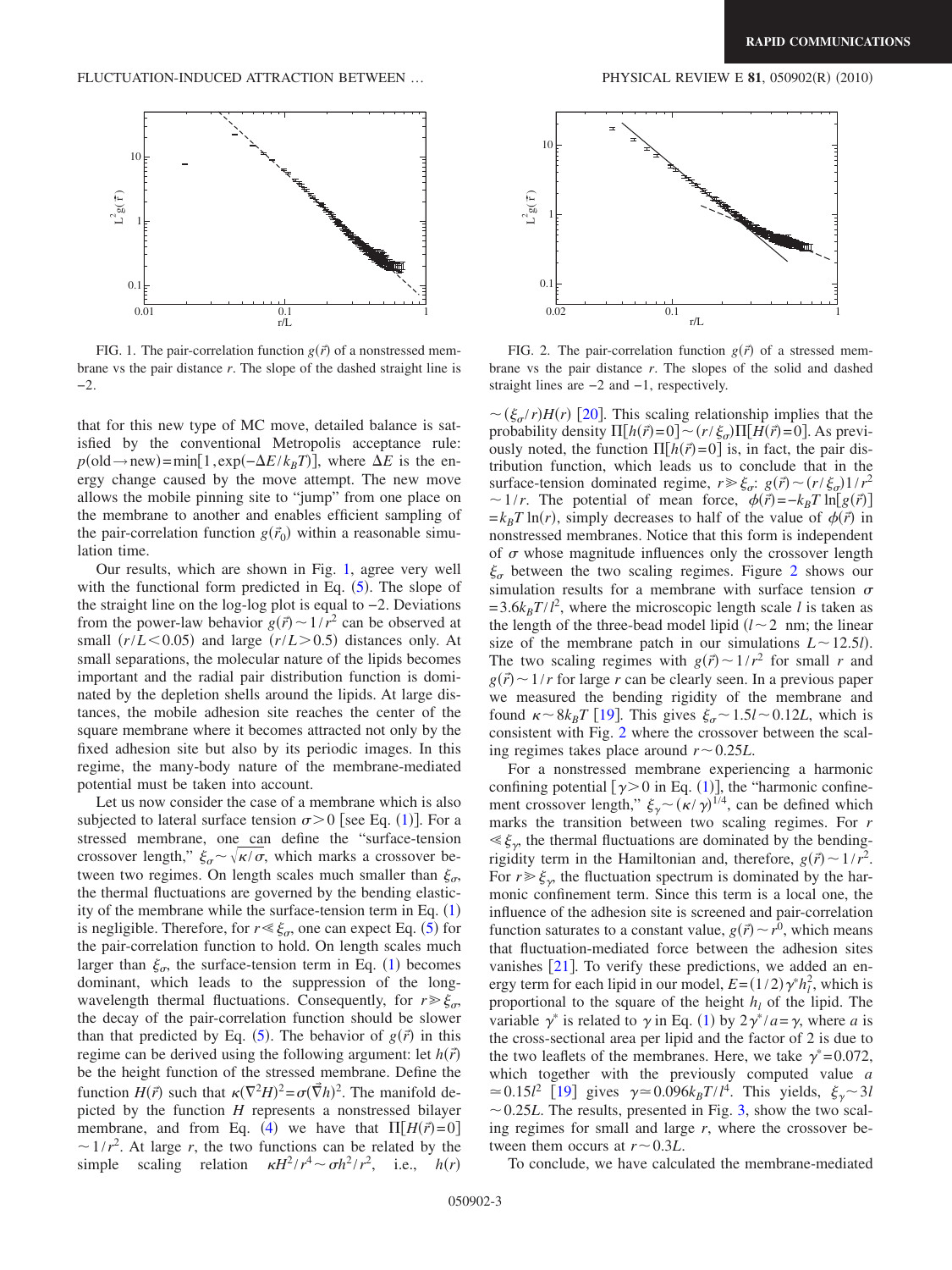<span id="page-2-0"></span>

FIG. 1. The pair-correlation function  $g(\vec{r})$  of a nonstressed membrane vs the pair distance *r*. The slope of the dashed straight line is −2.

that for this new type of MC move, detailed balance is satisfied by the conventional Metropolis acceptance rule:  $p(\text{old} \rightarrow \text{new}) = \min[1, \exp(-\Delta E / k_B T)]$ , where  $\Delta E$  is the energy change caused by the move attempt. The new move allows the mobile pinning site to "jump" from one place on the membrane to another and enables efficient sampling of the pair-correlation function  $g(\vec{r}_0)$  within a reasonable simulation time.

Our results, which are shown in Fig. [1,](#page-2-0) agree very well with the functional form predicted in Eq.  $(5)$  $(5)$  $(5)$ . The slope of the straight line on the log-log plot is equal to −2. Deviations from the power-law behavior  $g(\vec{r}) \sim 1/r^2$  can be observed at small  $(r/L < 0.05)$  and large  $(r/L > 0.5)$  distances only. At small separations, the molecular nature of the lipids becomes important and the radial pair distribution function is dominated by the depletion shells around the lipids. At large distances, the mobile adhesion site reaches the center of the square membrane where it becomes attracted not only by the fixed adhesion site but also by its periodic images. In this regime, the many-body nature of the membrane-mediated potential must be taken into account.

Let us now consider the case of a membrane which is also subjected to lateral surface tension  $\sigma > 0$  [see Eq. ([1](#page-0-0))]. For a stressed membrane, one can define the "surface-tension crossover length,"  $\xi_{\sigma} \sim \sqrt{\kappa/\sigma}$ , which marks a crossover between two regimes. On length scales much smaller than  $\xi_{\sigma}$ , the thermal fluctuations are governed by the bending elasticity of the membrane while the surface-tension term in Eq.  $(1)$  $(1)$  $(1)$ is negligible. Therefore, for  $r \ll \xi_{\sigma}$ , one can expect Eq. ([5](#page-1-3)) for the pair-correlation function to hold. On length scales much larger than  $\xi_{\sigma}$ , the surface-tension term in Eq. ([1](#page-0-0)) becomes dominant, which leads to the suppression of the longwavelength thermal fluctuations. Consequently, for  $r \geq \xi_{\sigma}$ , the decay of the pair-correlation function should be slower than that predicted by Eq. ([5](#page-1-3)). The behavior of  $g(\vec{r})$  in this regime can be derived using the following argument: let  $h(\vec{r})$ be the height function of the stressed membrane. Define the function  $H(\vec{r})$  such that  $\kappa(\nabla^2 H)^2 = \sigma(\vec{\nabla}h)^2$ . The manifold depicted by the function *H* represents a nonstressed bilayer membrane, and from Eq. ([4](#page-1-2)) we have that  $\Pi[H(\vec{r})=0]$  $\sim 1/r^2$ . At large *r*, the two functions can be related by the simple scaling relation  $\kappa H^2 / r^4 \sim \sigma h^2 / r^2$ , i.e.,  $h(r)$ 

<span id="page-2-1"></span>

FIG. 2. The pair-correlation function  $g(\vec{r})$  of a stressed membrane vs the pair distance *r*. The slopes of the solid and dashed straight lines are −2 and −1, respectively.

 $\sim (\xi_{\sigma}/r)H(r)$  [[20](#page-3-19)]. This scaling relationship implies that the probability density  $\Pi[h(\vec{r})=0] \sim (r/\xi_{\sigma})\Pi[H(\vec{r})=0]$ . As previously noted, the function  $\Pi[h(\vec{r})=0]$  is, in fact, the pair distribution function, which leads us to conclude that in the surface-tension dominated regime,  $r \ge \xi_{\sigma}$ :  $g(\vec{r}) \sim (r/\xi_{\sigma})1/r^2$  $\sim 1/r$ . The potential of mean force,  $\phi(\vec{r}) = -k_B T \ln[g(\vec{r})]$  $=k_B T \ln(r)$ , simply decreases to half of the value of  $\phi(\vec{r})$  in nonstressed membranes. Notice that this form is independent of  $\sigma$  whose magnitude influences only the crossover length  $\xi_{\sigma}$  between the two scaling regimes. Figure [2](#page-2-1) shows our simulation results for a membrane with surface tension  $\sigma$  $= 3.6k_B T/l^2$ , where the microscopic length scale *l* is taken as the length of the three-bead model lipid  $(l \sim 2 \text{ nm})$ ; the linear size of the membrane patch in our simulations  $L \sim 12.5l$ ). The two scaling regimes with  $g(\vec{r}) \sim 1/r^2$  for small *r* and  $g(\vec{r}) \sim 1/r$  for large *r* can be clearly seen. In a previous paper we measured the bending rigidity of the membrane and found  $\kappa \sim 8k_BT$  [[19](#page-3-18)]. This gives  $\xi_{\sigma} \sim 1.5l \sim 0.12L$ , which is consistent with Fig. [2](#page-2-1) where the crossover between the scaling regimes takes place around  $r \sim 0.25L$ .

For a nonstressed membrane experiencing a harmonic confining potential  $[\gamma \ge 0$  in Eq. ([1](#page-0-0))], the "harmonic confinement crossover length,"  $\xi_{\gamma} \sim (\kappa/\gamma)^{1/4}$ , can be defined which marks the transition between two scaling regimes. For *r*  $\ll \xi_{\gamma}$ , the thermal fluctuations are dominated by the bendingrigidity term in the Hamiltonian and, therefore,  $g(\vec{r}) \sim 1/r^2$ . For  $r \geq \xi_{\gamma}$ , the fluctuation spectrum is dominated by the harmonic confinement term. Since this term is a local one, the influence of the adhesion site is screened and pair-correlation function saturates to a constant value,  $g(\vec{r}) \sim r^0$ , which means that fluctuation-mediated force between the adhesion sites vanishes  $[21]$  $[21]$  $[21]$ . To verify these predictions, we added an energy term for each lipid in our model,  $E = (1/2)\gamma^* h_l^2$ , which is proportional to the square of the height  $h_l$  of the lipid. The variable  $\gamma^*$  is related to  $\gamma$  in Eq. ([1](#page-0-0)) by  $2\gamma^*/a = \gamma$ , where *a* is the cross-sectional area per lipid and the factor of 2 is due to the two leaflets of the membranes. Here, we take  $\gamma^* = 0.072$ , which together with the previously computed value *a*  $\approx 0.15l^2$  [[19](#page-3-18)] gives  $\gamma \approx 0.096k_BT/l^4$ . This yields,  $\xi_{\gamma} \sim 3l$  $\sim$  0.25*L*. The results, presented in Fig. [3,](#page-3-21) show the two scaling regimes for small and large *r*, where the crossover between them occurs at  $r \sim 0.3L$ .

To conclude, we have calculated the membrane-mediated